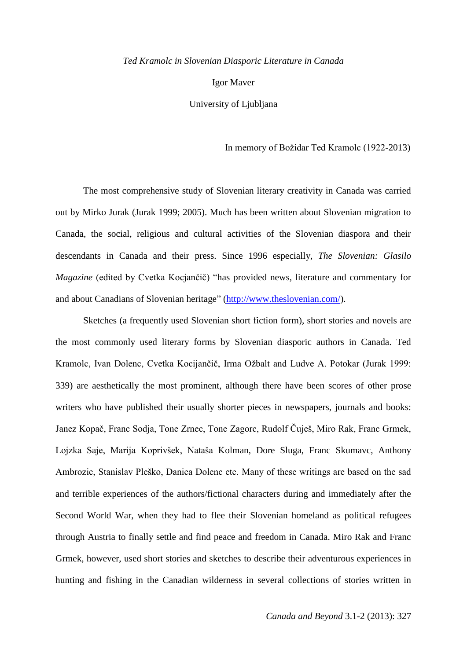## *Ted Kramolc in Slovenian Diasporic Literature in Canada*

Igor Maver

University of Ljubljana

In memory of Božidar Ted Kramolc (1922-2013)

The most comprehensive study of Slovenian literary creativity in Canada was carried out by Mirko Jurak (Jurak 1999; 2005). Much has been written about Slovenian migration to Canada, the social, religious and cultural activities of the Slovenian diaspora and their descendants in Canada and their press. Since 1996 especially, *The Slovenian: Glasilo Magazine* (edited by Cvetka Kocjančič) "has provided news, literature and commentary for and about Canadians of Slovenian heritage" [\(http://www.theslovenian.com/\)](http://www.theslovenian.com/).

Sketches (a frequently used Slovenian short fiction form), short stories and novels are the most commonly used literary forms by Slovenian diasporic authors in Canada. Ted Kramolc, Ivan Dolenc, Cvetka Kocijančič, Irma Ožbalt and Ludve A. Potokar (Jurak 1999: 339) are aesthetically the most prominent, although there have been scores of other prose writers who have published their usually shorter pieces in newspapers, journals and books: Janez Kopač, Franc Sodja, Tone Zrnec, Tone Zagorc, Rudolf Čuješ, Miro Rak, Franc Grmek, Lojzka Saje, Marija Koprivšek, Nataša Kolman, Dore Sluga, Franc Skumavc, Anthony Ambrozic, Stanislav Pleško, Danica Dolenc etc. Many of these writings are based on the sad and terrible experiences of the authors/fictional characters during and immediately after the Second World War, when they had to flee their Slovenian homeland as political refugees through Austria to finally settle and find peace and freedom in Canada. Miro Rak and Franc Grmek, however, used short stories and sketches to describe their adventurous experiences in hunting and fishing in the Canadian wilderness in several collections of stories written in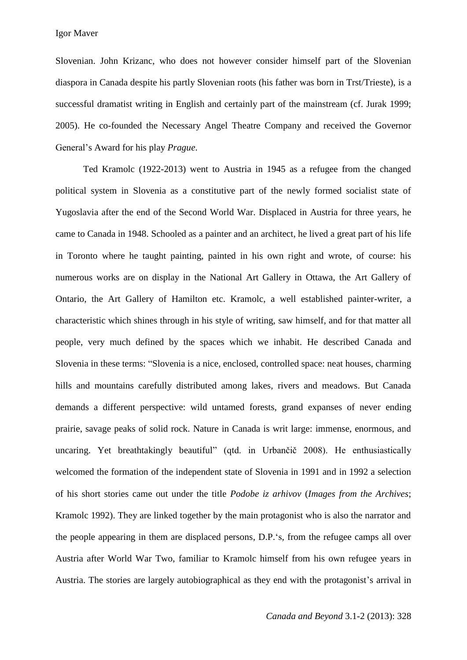Igor Maver

Slovenian. John Krizanc, who does not however consider himself part of the Slovenian diaspora in Canada despite his partly Slovenian roots (his father was born in Trst/Trieste), is a successful dramatist writing in English and certainly part of the mainstream (cf. Jurak 1999; 2005). He co-founded the Necessary Angel Theatre Company and received the Governor General's Award for his play *Prague*.

Ted Kramolc (1922-2013) went to Austria in 1945 as a refugee from the changed political system in Slovenia as a constitutive part of the newly formed socialist state of Yugoslavia after the end of the Second World War. Displaced in Austria for three years, he came to Canada in 1948. Schooled as a painter and an architect, he lived a great part of his life in Toronto where he taught painting, painted in his own right and wrote, of course: his numerous works are on display in the National Art Gallery in Ottawa, the Art Gallery of Ontario, the Art Gallery of Hamilton etc. Kramolc, a well established painter-writer, a characteristic which shines through in his style of writing, saw himself, and for that matter all people, very much defined by the spaces which we inhabit. He described Canada and Slovenia in these terms: "Slovenia is a nice, enclosed, controlled space: neat houses, charming hills and mountains carefully distributed among lakes, rivers and meadows. But Canada demands a different perspective: wild untamed forests, grand expanses of never ending prairie, savage peaks of solid rock. Nature in Canada is writ large: immense, enormous, and uncaring. Yet breathtakingly beautiful" (qtd. in Urbančič 2008). He enthusiastically welcomed the formation of the independent state of Slovenia in 1991 and in 1992 a selection of his short stories came out under the title *Podobe iz arhivov* (*Images from the Archives*; Kramolc 1992). They are linked together by the main protagonist who is also the narrator and the people appearing in them are displaced persons, D.P.'s, from the refugee camps all over Austria after World War Two, familiar to Kramolc himself from his own refugee years in Austria. The stories are largely autobiographical as they end with the protagonist's arrival in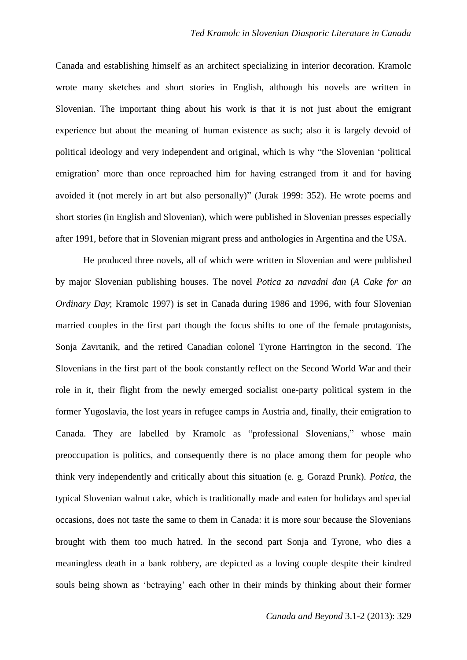Canada and establishing himself as an architect specializing in interior decoration. Kramolc wrote many sketches and short stories in English, although his novels are written in Slovenian. The important thing about his work is that it is not just about the emigrant experience but about the meaning of human existence as such; also it is largely devoid of political ideology and very independent and original, which is why "the Slovenian 'political emigration' more than once reproached him for having estranged from it and for having avoided it (not merely in art but also personally)" (Jurak 1999: 352). He wrote poems and short stories (in English and Slovenian), which were published in Slovenian presses especially after 1991, before that in Slovenian migrant press and anthologies in Argentina and the USA.

He produced three novels, all of which were written in Slovenian and were published by major Slovenian publishing houses. The novel *Potica za navadni dan* (*A Cake for an Ordinary Day*; Kramolc 1997) is set in Canada during 1986 and 1996, with four Slovenian married couples in the first part though the focus shifts to one of the female protagonists, Sonja Zavrtanik, and the retired Canadian colonel Tyrone Harrington in the second. The Slovenians in the first part of the book constantly reflect on the Second World War and their role in it, their flight from the newly emerged socialist one-party political system in the former Yugoslavia, the lost years in refugee camps in Austria and, finally, their emigration to Canada. They are labelled by Kramolc as "professional Slovenians," whose main preoccupation is politics, and consequently there is no place among them for people who think very independently and critically about this situation (e. g. Gorazd Prunk). *Potica*, the typical Slovenian walnut cake, which is traditionally made and eaten for holidays and special occasions, does not taste the same to them in Canada: it is more sour because the Slovenians brought with them too much hatred. In the second part Sonja and Tyrone, who dies a meaningless death in a bank robbery, are depicted as a loving couple despite their kindred souls being shown as 'betraying' each other in their minds by thinking about their former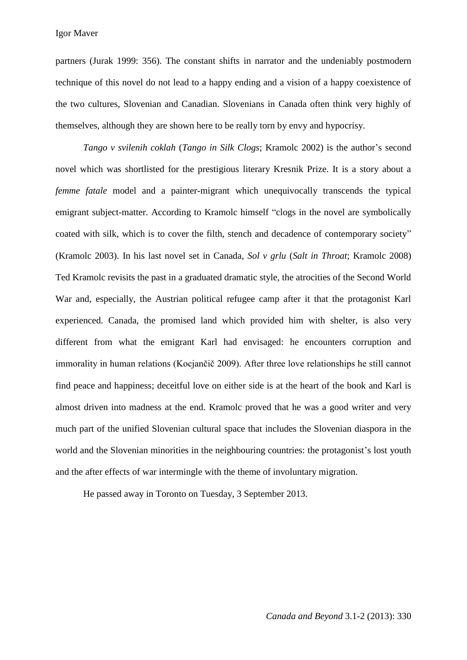partners (Jurak 1999: 356). The constant shifts in narrator and the undeniably postmodern technique of this novel do not lead to a happy ending and a vision of a happy coexistence of the two cultures, Slovenian and Canadian. Slovenians in Canada often think very highly of themselves, although they are shown here to be really torn by envy and hypocrisy.

*Tango v svilenih coklah* (*Tango in Silk Clogs*; Kramolc 2002) is the author's second novel which was shortlisted for the prestigious literary Kresnik Prize. It is a story about a *femme fatale* model and a painter-migrant which unequivocally transcends the typical emigrant subject-matter. According to Kramolc himself "clogs in the novel are symbolically coated with silk, which is to cover the filth, stench and decadence of contemporary society" (Kramolc 2003). In his last novel set in Canada, *Sol v grlu* (*Salt in Throat*; Kramolc 2008) Ted Kramolc revisits the past in a graduated dramatic style, the atrocities of the Second World War and, especially, the Austrian political refugee camp after it that the protagonist Karl experienced. Canada, the promised land which provided him with shelter, is also very different from what the emigrant Karl had envisaged: he encounters corruption and immorality in human relations (Kocjančič 2009). After three love relationships he still cannot find peace and happiness; deceitful love on either side is at the heart of the book and Karl is almost driven into madness at the end. Kramolc proved that he was a good writer and very much part of the unified Slovenian cultural space that includes the Slovenian diaspora in the world and the Slovenian minorities in the neighbouring countries: the protagonist's lost youth and the after effects of war intermingle with the theme of involuntary migration.

He passed away in Toronto on Tuesday, 3 September 2013.